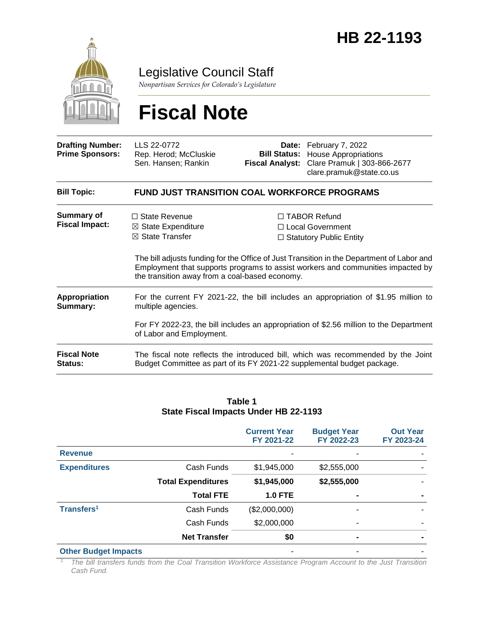

Legislative Council Staff

*Nonpartisan Services for Colorado's Legislature*

# **Fiscal Note**

| <b>Drafting Number:</b><br><b>Prime Sponsors:</b> | LLS 22-0772<br>Rep. Herod; McCluskie<br>Sen. Hansen; Rankin                                                                                                                                                                     | <b>Fiscal Analyst:</b> | Date: February 7, 2022<br><b>Bill Status:</b> House Appropriations<br>Clare Pramuk   303-866-2677<br>clare.pramuk@state.co.us                                                                                                                               |  |  |
|---------------------------------------------------|---------------------------------------------------------------------------------------------------------------------------------------------------------------------------------------------------------------------------------|------------------------|-------------------------------------------------------------------------------------------------------------------------------------------------------------------------------------------------------------------------------------------------------------|--|--|
| <b>Bill Topic:</b>                                | <b>FUND JUST TRANSITION COAL WORKFORCE PROGRAMS</b>                                                                                                                                                                             |                        |                                                                                                                                                                                                                                                             |  |  |
| Summary of<br><b>Fiscal Impact:</b>               | $\Box$ State Revenue<br>$\boxtimes$ State Expenditure<br>$\boxtimes$ State Transfer<br>the transition away from a coal-based economy.                                                                                           |                        | $\Box$ TABOR Refund<br>□ Local Government<br>$\Box$ Statutory Public Entity<br>The bill adjusts funding for the Office of Just Transition in the Department of Labor and<br>Employment that supports programs to assist workers and communities impacted by |  |  |
| Appropriation<br>Summary:                         | For the current FY 2021-22, the bill includes an appropriation of \$1.95 million to<br>multiple agencies.<br>For FY 2022-23, the bill includes an appropriation of \$2.56 million to the Department<br>of Labor and Employment. |                        |                                                                                                                                                                                                                                                             |  |  |
| <b>Fiscal Note</b><br>Status:                     | The fiscal note reflects the introduced bill, which was recommended by the Joint<br>Budget Committee as part of its FY 2021-22 supplemental budget package.                                                                     |                        |                                                                                                                                                                                                                                                             |  |  |

#### **Table 1 State Fiscal Impacts Under HB 22-1193**

|                             |                           | <b>Current Year</b><br>FY 2021-22 | <b>Budget Year</b><br>FY 2022-23 | <b>Out Year</b><br>FY 2023-24 |
|-----------------------------|---------------------------|-----------------------------------|----------------------------------|-------------------------------|
| <b>Revenue</b>              |                           |                                   |                                  |                               |
| <b>Expenditures</b>         | Cash Funds                | \$1,945,000                       | \$2,555,000                      |                               |
|                             | <b>Total Expenditures</b> | \$1,945,000                       | \$2,555,000                      |                               |
|                             | <b>Total FTE</b>          | <b>1.0 FTE</b>                    | ٠                                |                               |
| Transfers <sup>1</sup>      | Cash Funds                | (\$2,000,000)                     | ۰                                |                               |
|                             | Cash Funds                | \$2,000,000                       | ۰                                |                               |
|                             | <b>Net Transfer</b>       | \$0                               | $\blacksquare$                   |                               |
| <b>Other Budget Impacts</b> |                           |                                   |                                  |                               |

*<sup>1</sup> The bill transfers funds from the Coal Transition Workforce Assistance Program Account to the Just Transition Cash Fund.*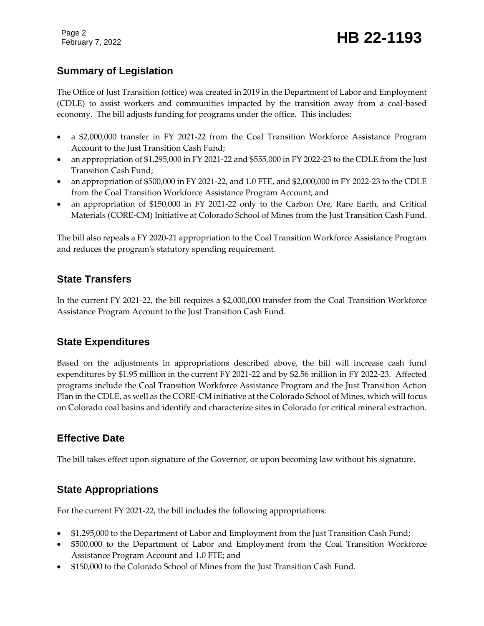Page 2

## February 7, <sup>2022</sup> **HB 22-1193**

### **Summary of Legislation**

The Office of Just Transition (office) was created in 2019 in the Department of Labor and Employment (CDLE) to assist workers and communities impacted by the transition away from a coal-based economy. The bill adjusts funding for programs under the office. This includes:

- a \$2,000,000 transfer in FY 2021-22 from the Coal Transition Workforce Assistance Program Account to the Just Transition Cash Fund;
- an appropriation of \$1,295,000 in FY 2021-22 and \$555,000 in FY 2022-23 to the CDLE from the Just Transition Cash Fund;
- an appropriation of \$500,000 in FY 2021-22, and 1.0 FTE, and \$2,000,000 in FY 2022-23 to the CDLE from the Coal Transition Workforce Assistance Program Account; and
- an appropriation of \$150,000 in FY 2021-22 only to the Carbon Ore, Rare Earth, and Critical Materials (CORE-CM) Initiative at Colorado School of Mines from the Just Transition Cash Fund.

The bill also repeals a FY 2020-21 appropriation to the Coal Transition Workforce Assistance Program and reduces the program's statutory spending requirement.

#### **State Transfers**

In the current FY 2021-22, the bill requires a \$2,000,000 transfer from the Coal Transition Workforce Assistance Program Account to the Just Transition Cash Fund.

#### **State Expenditures**

Based on the adjustments in appropriations described above, the bill will increase cash fund expenditures by \$1.95 million in the current FY 2021-22 and by \$2.56 million in FY 2022-23. Affected programs include the Coal Transition Workforce Assistance Program and the Just Transition Action Plan in the CDLE, as well as the CORE-CM initiative at the Colorado School of Mines, which will focus on Colorado coal basins and identify and characterize sites in Colorado for critical mineral extraction.

### **Effective Date**

The bill takes effect upon signature of the Governor, or upon becoming law without his signature.

### **State Appropriations**

For the current FY 2021-22, the bill includes the following appropriations:

- \$1,295,000 to the Department of Labor and Employment from the Just Transition Cash Fund;
- \$500,000 to the Department of Labor and Employment from the Coal Transition Workforce Assistance Program Account and 1.0 FTE; and
- \$150,000 to the Colorado School of Mines from the Just Transition Cash Fund.